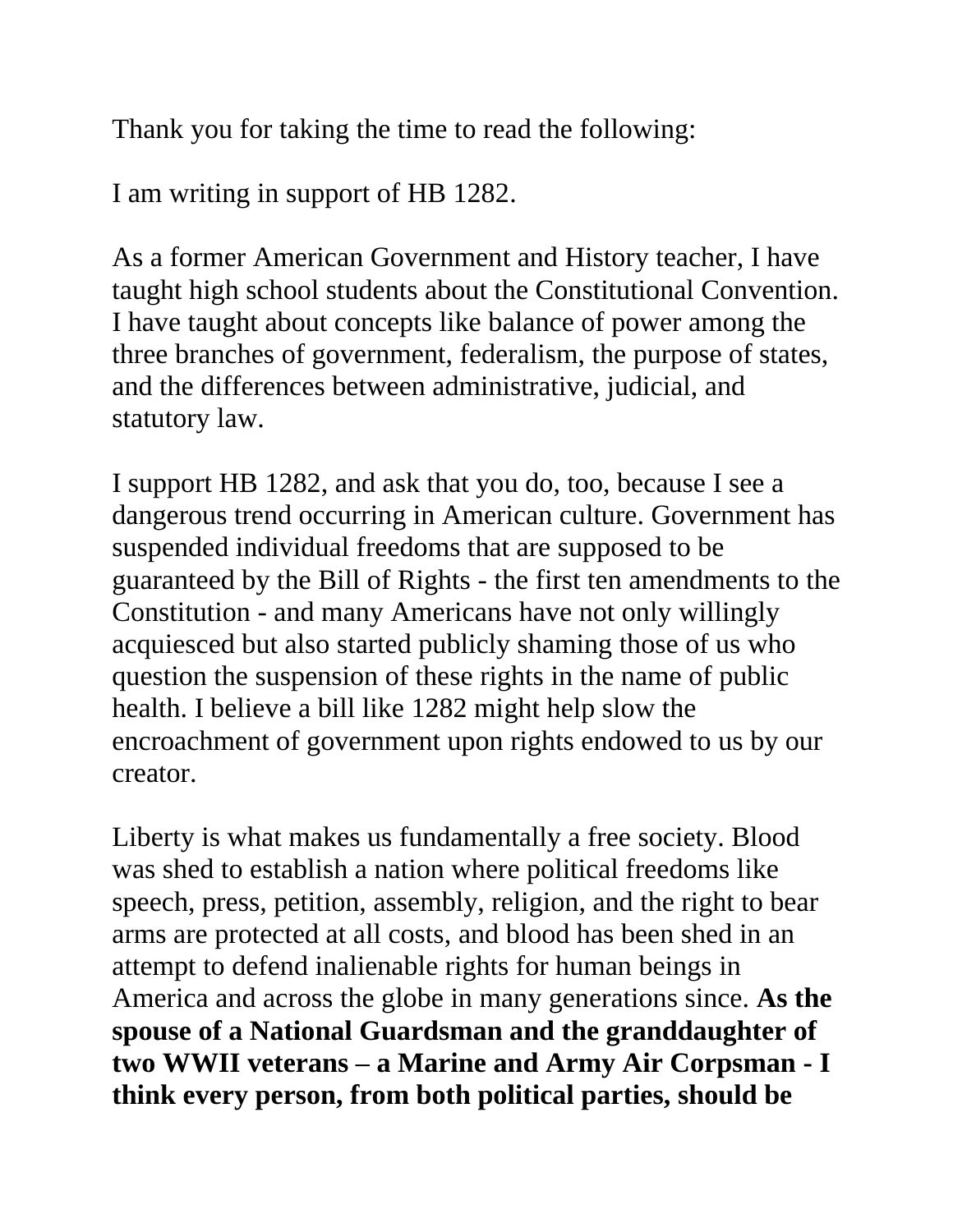Thank you for taking the time to read the following:

I am writing in support of HB 1282.

As a former American Government and History teacher, I have taught high school students about the Constitutional Convention. I have taught about concepts like balance of power among the three branches of government, federalism, the purpose of states, and the differences between administrative, judicial, and statutory law.

I support HB 1282, and ask that you do, too, because I see a dangerous trend occurring in American culture. Government has suspended individual freedoms that are supposed to be guaranteed by the Bill of Rights - the first ten amendments to the Constitution - and many Americans have not only willingly acquiesced but also started publicly shaming those of us who question the suspension of these rights in the name of public health. I believe a bill like 1282 might help slow the encroachment of government upon rights endowed to us by our creator.

Liberty is what makes us fundamentally a free society. Blood was shed to establish a nation where political freedoms like speech, press, petition, assembly, religion, and the right to bear arms are protected at all costs, and blood has been shed in an attempt to defend inalienable rights for human beings in America and across the globe in many generations since. **As the spouse of a National Guardsman and the granddaughter of two WWII veterans – a Marine and Army Air Corpsman - I think every person, from both political parties, should be**